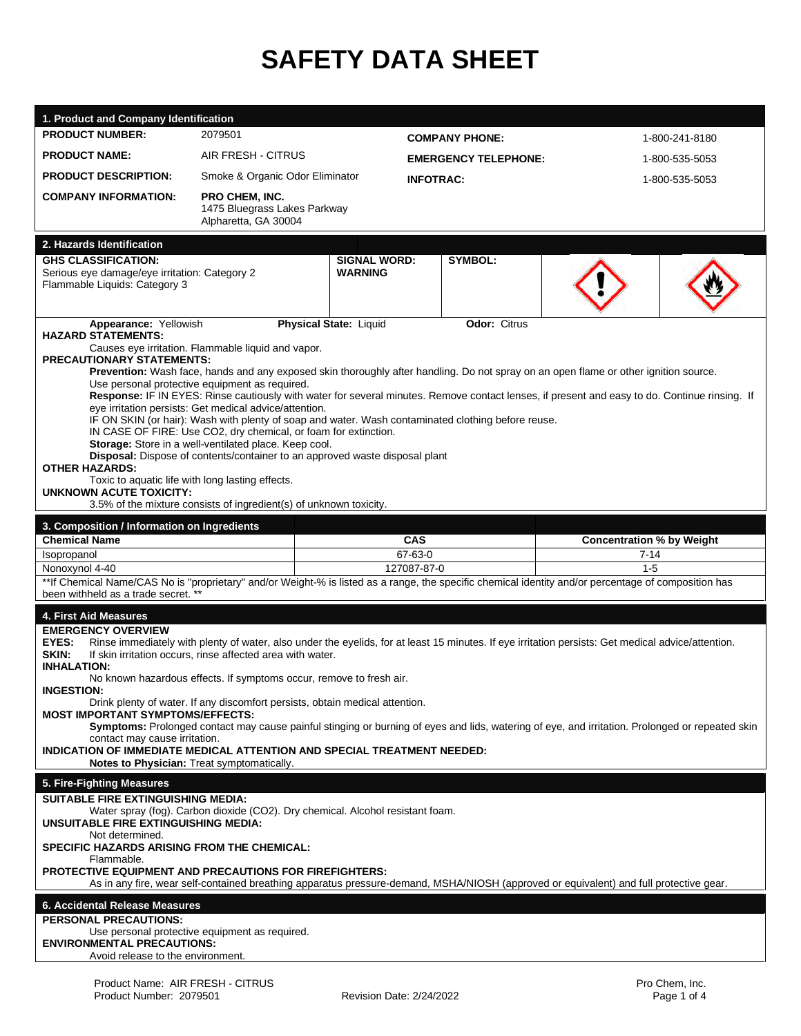# **SAFETY DATA SHEET**

| 1. Product and Company Identification                                                                                                                                                                                                                                                                                                                                                                                                                                                                                                                                                                                                                                                                                                                                                                                                                                                                                                                                                                                                     |                                                                        |                                       |                             |                       |                                          |                |  |
|-------------------------------------------------------------------------------------------------------------------------------------------------------------------------------------------------------------------------------------------------------------------------------------------------------------------------------------------------------------------------------------------------------------------------------------------------------------------------------------------------------------------------------------------------------------------------------------------------------------------------------------------------------------------------------------------------------------------------------------------------------------------------------------------------------------------------------------------------------------------------------------------------------------------------------------------------------------------------------------------------------------------------------------------|------------------------------------------------------------------------|---------------------------------------|-----------------------------|-----------------------|------------------------------------------|----------------|--|
| <b>PRODUCT NUMBER:</b>                                                                                                                                                                                                                                                                                                                                                                                                                                                                                                                                                                                                                                                                                                                                                                                                                                                                                                                                                                                                                    | 2079501                                                                |                                       |                             | <b>COMPANY PHONE:</b> |                                          | 1-800-241-8180 |  |
| <b>PRODUCT NAME:</b>                                                                                                                                                                                                                                                                                                                                                                                                                                                                                                                                                                                                                                                                                                                                                                                                                                                                                                                                                                                                                      | AIR FRESH - CITRUS                                                     |                                       | <b>EMERGENCY TELEPHONE:</b> |                       |                                          | 1-800-535-5053 |  |
| <b>PRODUCT DESCRIPTION:</b>                                                                                                                                                                                                                                                                                                                                                                                                                                                                                                                                                                                                                                                                                                                                                                                                                                                                                                                                                                                                               | Smoke & Organic Odor Eliminator                                        |                                       | <b>INFOTRAC:</b>            |                       |                                          | 1-800-535-5053 |  |
| <b>COMPANY INFORMATION:</b>                                                                                                                                                                                                                                                                                                                                                                                                                                                                                                                                                                                                                                                                                                                                                                                                                                                                                                                                                                                                               | PRO CHEM, INC.<br>1475 Bluegrass Lakes Parkway<br>Alpharetta, GA 30004 |                                       |                             |                       |                                          |                |  |
| 2. Hazards Identification                                                                                                                                                                                                                                                                                                                                                                                                                                                                                                                                                                                                                                                                                                                                                                                                                                                                                                                                                                                                                 |                                                                        |                                       |                             |                       |                                          |                |  |
| <b>GHS CLASSIFICATION:</b><br>Serious eye damage/eye irritation: Category 2<br>Flammable Liquids: Category 3                                                                                                                                                                                                                                                                                                                                                                                                                                                                                                                                                                                                                                                                                                                                                                                                                                                                                                                              |                                                                        | <b>SIGNAL WORD:</b><br><b>WARNING</b> |                             | <b>SYMBOL:</b>        |                                          |                |  |
| <b>Physical State: Liquid</b><br>Appearance: Yellowish<br><b>Odor: Citrus</b><br><b>HAZARD STATEMENTS:</b><br>Causes eye irritation. Flammable liquid and vapor.<br><b>PRECAUTIONARY STATEMENTS:</b><br>Prevention: Wash face, hands and any exposed skin thoroughly after handling. Do not spray on an open flame or other ignition source.<br>Use personal protective equipment as required.<br>Response: IF IN EYES: Rinse cautiously with water for several minutes. Remove contact lenses, if present and easy to do. Continue rinsing. If<br>eye irritation persists: Get medical advice/attention.<br>IF ON SKIN (or hair): Wash with plenty of soap and water. Wash contaminated clothing before reuse.<br>IN CASE OF FIRE: Use CO2, dry chemical, or foam for extinction.<br>Storage: Store in a well-ventilated place. Keep cool.<br>Disposal: Dispose of contents/container to an approved waste disposal plant<br><b>OTHER HAZARDS:</b><br>Toxic to aquatic life with long lasting effects.<br><b>UNKNOWN ACUTE TOXICITY:</b> |                                                                        |                                       |                             |                       |                                          |                |  |
|                                                                                                                                                                                                                                                                                                                                                                                                                                                                                                                                                                                                                                                                                                                                                                                                                                                                                                                                                                                                                                           | 3.5% of the mixture consists of ingredient(s) of unknown toxicity.     |                                       |                             |                       |                                          |                |  |
| 3. Composition / Information on Ingredients<br><b>Chemical Name</b>                                                                                                                                                                                                                                                                                                                                                                                                                                                                                                                                                                                                                                                                                                                                                                                                                                                                                                                                                                       |                                                                        |                                       | CAS                         |                       |                                          |                |  |
| Isopropanol                                                                                                                                                                                                                                                                                                                                                                                                                                                                                                                                                                                                                                                                                                                                                                                                                                                                                                                                                                                                                               |                                                                        | 67-63-0                               |                             |                       | <b>Concentration % by Weight</b><br>7-14 |                |  |
| Nonoxynol 4-40                                                                                                                                                                                                                                                                                                                                                                                                                                                                                                                                                                                                                                                                                                                                                                                                                                                                                                                                                                                                                            |                                                                        | 127087-87-0                           |                             |                       | $1 - 5$                                  |                |  |
| **If Chemical Name/CAS No is "proprietary" and/or Weight-% is listed as a range, the specific chemical identity and/or percentage of composition has<br>been withheld as a trade secret. **                                                                                                                                                                                                                                                                                                                                                                                                                                                                                                                                                                                                                                                                                                                                                                                                                                               |                                                                        |                                       |                             |                       |                                          |                |  |
| 4. First Aid Measures<br><b>EMERGENCY OVERVIEW</b><br>EYES:<br>Rinse immediately with plenty of water, also under the eyelids, for at least 15 minutes. If eye irritation persists: Get medical advice/attention.<br>SKIN:<br>If skin irritation occurs, rinse affected area with water.<br><b>INHALATION:</b><br>No known hazardous effects. If symptoms occur, remove to fresh air.<br><b>INGESTION:</b><br>Drink plenty of water. If any discomfort persists, obtain medical attention.<br><b>MOST IMPORTANT SYMPTOMS/EFFECTS:</b><br>Symptoms: Prolonged contact may cause painful stinging or burning of eyes and lids, watering of eye, and irritation. Prolonged or repeated skin<br>contact may cause irritation.<br>INDICATION OF IMMEDIATE MEDICAL ATTENTION AND SPECIAL TREATMENT NEEDED:<br>Notes to Physician: Treat symptomatically.                                                                                                                                                                                        |                                                                        |                                       |                             |                       |                                          |                |  |
| 5. Fire-Fighting Measures                                                                                                                                                                                                                                                                                                                                                                                                                                                                                                                                                                                                                                                                                                                                                                                                                                                                                                                                                                                                                 |                                                                        |                                       |                             |                       |                                          |                |  |
| <b>SUITABLE FIRE EXTINGUISHING MEDIA:</b><br>Water spray (fog). Carbon dioxide (CO2). Dry chemical. Alcohol resistant foam.<br><b>UNSUITABLE FIRE EXTINGUISHING MEDIA:</b><br>Not determined.<br><b>SPECIFIC HAZARDS ARISING FROM THE CHEMICAL:</b><br>Flammable.<br><b>PROTECTIVE EQUIPMENT AND PRECAUTIONS FOR FIREFIGHTERS:</b><br>As in any fire, wear self-contained breathing apparatus pressure-demand, MSHA/NIOSH (approved or equivalent) and full protective gear.                                                                                                                                                                                                                                                                                                                                                                                                                                                                                                                                                              |                                                                        |                                       |                             |                       |                                          |                |  |
| 6. Accidental Release Measures                                                                                                                                                                                                                                                                                                                                                                                                                                                                                                                                                                                                                                                                                                                                                                                                                                                                                                                                                                                                            |                                                                        |                                       |                             |                       |                                          |                |  |
| <b>PERSONAL PRECAUTIONS:</b><br>Use personal protective equipment as required.<br><b>ENVIRONMENTAL PRECAUTIONS:</b><br>Avoid release to the environment.                                                                                                                                                                                                                                                                                                                                                                                                                                                                                                                                                                                                                                                                                                                                                                                                                                                                                  |                                                                        |                                       |                             |                       |                                          |                |  |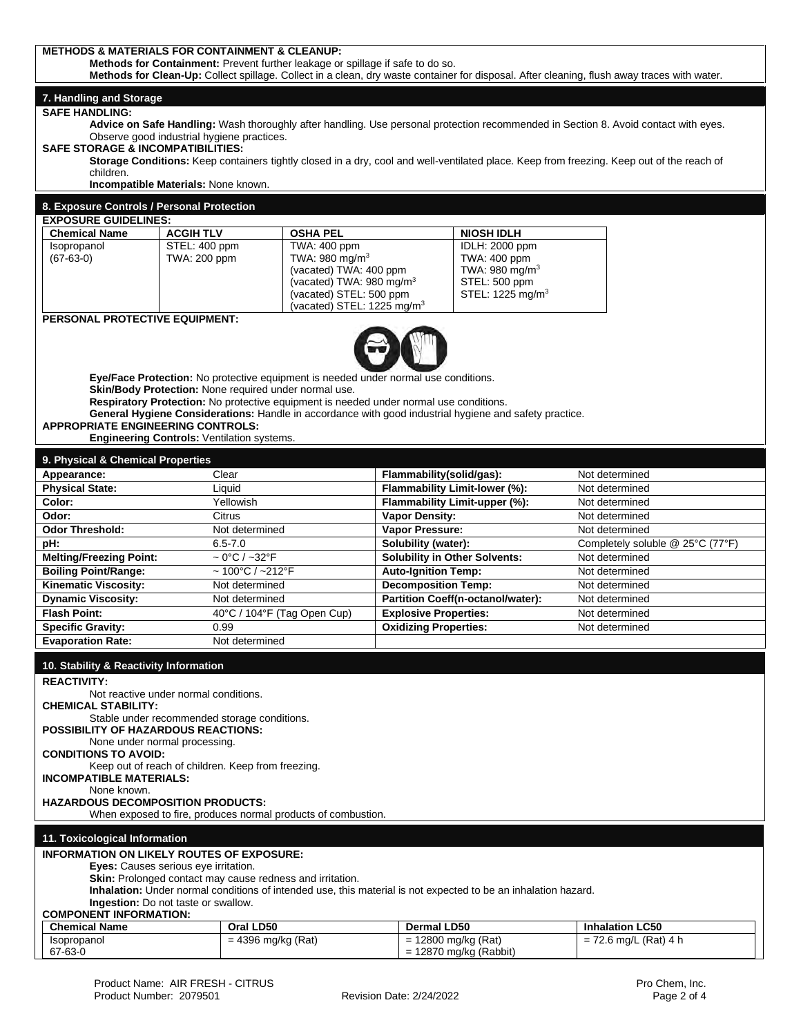| <b>METHODS &amp; MATERIALS FOR CONTAINMENT &amp; CLEANUP:</b>                                                                                                                                                                 |                                                                                                     |                                                                                                        |                                                             |                                |                                                                                                                                           |  |  |
|-------------------------------------------------------------------------------------------------------------------------------------------------------------------------------------------------------------------------------|-----------------------------------------------------------------------------------------------------|--------------------------------------------------------------------------------------------------------|-------------------------------------------------------------|--------------------------------|-------------------------------------------------------------------------------------------------------------------------------------------|--|--|
| Methods for Containment: Prevent further leakage or spillage if safe to do so.<br>Methods for Clean-Up: Collect spillage. Collect in a clean, dry waste container for disposal. After cleaning, flush away traces with water. |                                                                                                     |                                                                                                        |                                                             |                                |                                                                                                                                           |  |  |
|                                                                                                                                                                                                                               |                                                                                                     |                                                                                                        |                                                             |                                |                                                                                                                                           |  |  |
| 7. Handling and Storage<br><b>SAFE HANDLING:</b>                                                                                                                                                                              |                                                                                                     |                                                                                                        |                                                             |                                |                                                                                                                                           |  |  |
|                                                                                                                                                                                                                               |                                                                                                     |                                                                                                        |                                                             |                                | Advice on Safe Handling: Wash thoroughly after handling. Use personal protection recommended in Section 8. Avoid contact with eyes.       |  |  |
| Observe good industrial hygiene practices.                                                                                                                                                                                    |                                                                                                     |                                                                                                        |                                                             |                                |                                                                                                                                           |  |  |
| <b>SAFE STORAGE &amp; INCOMPATIBILITIES:</b>                                                                                                                                                                                  |                                                                                                     |                                                                                                        |                                                             |                                | Storage Conditions: Keep containers tightly closed in a dry, cool and well-ventilated place. Keep from freezing. Keep out of the reach of |  |  |
| children.                                                                                                                                                                                                                     |                                                                                                     |                                                                                                        |                                                             |                                |                                                                                                                                           |  |  |
| Incompatible Materials: None known.                                                                                                                                                                                           |                                                                                                     |                                                                                                        |                                                             |                                |                                                                                                                                           |  |  |
| 8. Exposure Controls / Personal Protection                                                                                                                                                                                    |                                                                                                     |                                                                                                        |                                                             |                                |                                                                                                                                           |  |  |
| <b>EXPOSURE GUIDELINES:</b>                                                                                                                                                                                                   |                                                                                                     |                                                                                                        |                                                             |                                |                                                                                                                                           |  |  |
| <b>Chemical Name</b>                                                                                                                                                                                                          | <b>ACGIH TLV</b>                                                                                    | <b>OSHA PEL</b>                                                                                        |                                                             | <b>NIOSH IDLH</b>              |                                                                                                                                           |  |  |
| Isopropanol<br>$(67-63-0)$                                                                                                                                                                                                    | STEL: 400 ppm<br>TWA: 200 ppm                                                                       | TWA: 400 ppm<br>TWA: 980 mg/m <sup>3</sup>                                                             |                                                             | IDLH: 2000 ppm<br>TWA: 400 ppm |                                                                                                                                           |  |  |
|                                                                                                                                                                                                                               |                                                                                                     | (vacated) TWA: 400 ppm                                                                                 |                                                             | TWA: 980 mg/m <sup>3</sup>     |                                                                                                                                           |  |  |
|                                                                                                                                                                                                                               |                                                                                                     | (vacated) TWA: 980 mg/m <sup>3</sup>                                                                   |                                                             | STEL: 500 ppm                  |                                                                                                                                           |  |  |
|                                                                                                                                                                                                                               |                                                                                                     | (vacated) STEL: 500 ppm                                                                                |                                                             | STEL: 1225 mg/m <sup>3</sup>   |                                                                                                                                           |  |  |
| PERSONAL PROTECTIVE EQUIPMENT:                                                                                                                                                                                                |                                                                                                     | (vacated) STEL: 1225 mg/m <sup>3</sup>                                                                 |                                                             |                                |                                                                                                                                           |  |  |
|                                                                                                                                                                                                                               |                                                                                                     |                                                                                                        |                                                             |                                |                                                                                                                                           |  |  |
|                                                                                                                                                                                                                               |                                                                                                     |                                                                                                        |                                                             |                                |                                                                                                                                           |  |  |
|                                                                                                                                                                                                                               |                                                                                                     |                                                                                                        |                                                             |                                |                                                                                                                                           |  |  |
|                                                                                                                                                                                                                               |                                                                                                     | Eye/Face Protection: No protective equipment is needed under normal use conditions.                    |                                                             |                                |                                                                                                                                           |  |  |
|                                                                                                                                                                                                                               |                                                                                                     | Skin/Body Protection: None required under normal use.                                                  |                                                             |                                |                                                                                                                                           |  |  |
|                                                                                                                                                                                                                               |                                                                                                     | Respiratory Protection: No protective equipment is needed under normal use conditions.                 |                                                             |                                |                                                                                                                                           |  |  |
| <b>APPROPRIATE ENGINEERING CONTROLS:</b>                                                                                                                                                                                      |                                                                                                     | General Hygiene Considerations: Handle in accordance with good industrial hygiene and safety practice. |                                                             |                                |                                                                                                                                           |  |  |
|                                                                                                                                                                                                                               |                                                                                                     | Engineering Controls: Ventilation systems.                                                             |                                                             |                                |                                                                                                                                           |  |  |
| 9. Physical & Chemical Properties                                                                                                                                                                                             |                                                                                                     |                                                                                                        |                                                             |                                |                                                                                                                                           |  |  |
| Appearance:                                                                                                                                                                                                                   | Clear                                                                                               |                                                                                                        | Flammability(solid/gas):                                    |                                | Not determined                                                                                                                            |  |  |
| <b>Physical State:</b>                                                                                                                                                                                                        |                                                                                                     | Liquid                                                                                                 | Flammability Limit-lower (%):                               |                                | Not determined                                                                                                                            |  |  |
| Color:                                                                                                                                                                                                                        |                                                                                                     | Yellowish                                                                                              |                                                             | Flammability Limit-upper (%):  | Not determined                                                                                                                            |  |  |
| Odor:                                                                                                                                                                                                                         |                                                                                                     | Citrus                                                                                                 | <b>Vapor Density:</b>                                       |                                | Not determined                                                                                                                            |  |  |
| <b>Odor Threshold:</b>                                                                                                                                                                                                        |                                                                                                     | Not determined                                                                                         | Vapor Pressure:                                             |                                | Not determined                                                                                                                            |  |  |
| pH:<br><b>Melting/Freezing Point:</b>                                                                                                                                                                                         |                                                                                                     | $6.5 - 7.0$<br>$\sim 0^{\circ}$ C / ~32 $^{\circ}$ F                                                   | Solubility (water):<br><b>Solubility in Other Solvents:</b> |                                | Completely soluble @ 25°C (77°F)<br>Not determined                                                                                        |  |  |
| <b>Boiling Point/Range:</b>                                                                                                                                                                                                   |                                                                                                     | $\sim 100^{\circ}$ C / ~212°F                                                                          | <b>Auto-Ignition Temp:</b>                                  |                                | Not determined                                                                                                                            |  |  |
| <b>Kinematic Viscosity:</b>                                                                                                                                                                                                   |                                                                                                     | Not determined                                                                                         | <b>Decomposition Temp:</b>                                  |                                | Not determined                                                                                                                            |  |  |
| <b>Dynamic Viscosity:</b>                                                                                                                                                                                                     |                                                                                                     | Not determined                                                                                         | Partition Coeff(n-octanol/water):                           |                                | Not determined                                                                                                                            |  |  |
| <b>Flash Point:</b>                                                                                                                                                                                                           | 40°C / 104°F (Tag Open Cup)                                                                         |                                                                                                        | <b>Explosive Properties:</b>                                |                                | Not determined                                                                                                                            |  |  |
| <b>Specific Gravity:</b>                                                                                                                                                                                                      | 0.99                                                                                                |                                                                                                        | <b>Oxidizing Properties:</b>                                |                                | Not determined                                                                                                                            |  |  |
|                                                                                                                                                                                                                               | <b>Evaporation Rate:</b><br>Not determined                                                          |                                                                                                        |                                                             |                                |                                                                                                                                           |  |  |
| 10. Stability & Reactivity Information                                                                                                                                                                                        |                                                                                                     |                                                                                                        |                                                             |                                |                                                                                                                                           |  |  |
| <b>REACTIVITY:</b>                                                                                                                                                                                                            |                                                                                                     |                                                                                                        |                                                             |                                |                                                                                                                                           |  |  |
| Not reactive under normal conditions.                                                                                                                                                                                         |                                                                                                     |                                                                                                        |                                                             |                                |                                                                                                                                           |  |  |
| <b>CHEMICAL STABILITY:</b><br>Stable under recommended storage conditions.                                                                                                                                                    |                                                                                                     |                                                                                                        |                                                             |                                |                                                                                                                                           |  |  |
| <b>POSSIBILITY OF HAZARDOUS REACTIONS:</b>                                                                                                                                                                                    |                                                                                                     |                                                                                                        |                                                             |                                |                                                                                                                                           |  |  |
| None under normal processing.                                                                                                                                                                                                 |                                                                                                     |                                                                                                        |                                                             |                                |                                                                                                                                           |  |  |
| <b>CONDITIONS TO AVOID:</b><br>Keep out of reach of children. Keep from freezing.                                                                                                                                             |                                                                                                     |                                                                                                        |                                                             |                                |                                                                                                                                           |  |  |
| <b>INCOMPATIBLE MATERIALS:</b>                                                                                                                                                                                                |                                                                                                     |                                                                                                        |                                                             |                                |                                                                                                                                           |  |  |
| None known.                                                                                                                                                                                                                   |                                                                                                     |                                                                                                        |                                                             |                                |                                                                                                                                           |  |  |
| <b>HAZARDOUS DECOMPOSITION PRODUCTS:</b><br>When exposed to fire, produces normal products of combustion.                                                                                                                     |                                                                                                     |                                                                                                        |                                                             |                                |                                                                                                                                           |  |  |
|                                                                                                                                                                                                                               |                                                                                                     |                                                                                                        |                                                             |                                |                                                                                                                                           |  |  |
| 11. Toxicological Information                                                                                                                                                                                                 |                                                                                                     |                                                                                                        |                                                             |                                |                                                                                                                                           |  |  |
| <b>INFORMATION ON LIKELY ROUTES OF EXPOSURE:</b>                                                                                                                                                                              |                                                                                                     |                                                                                                        |                                                             |                                |                                                                                                                                           |  |  |
| <b>Eyes:</b> Causes serious eye irritation.<br>Skin: Prolonged contact may cause redness and irritation.                                                                                                                      |                                                                                                     |                                                                                                        |                                                             |                                |                                                                                                                                           |  |  |
| Inhalation: Under normal conditions of intended use, this material is not expected to be an inhalation hazard.                                                                                                                |                                                                                                     |                                                                                                        |                                                             |                                |                                                                                                                                           |  |  |
| Ingestion: Do not taste or swallow.                                                                                                                                                                                           |                                                                                                     |                                                                                                        |                                                             |                                |                                                                                                                                           |  |  |
| <b>COMPONENT INFORMATION:</b><br><b>Chemical Name</b>                                                                                                                                                                         |                                                                                                     |                                                                                                        |                                                             |                                |                                                                                                                                           |  |  |
| Isopropanol                                                                                                                                                                                                                   | Oral LD50<br>Dermal LD50<br><b>Inhalation LC50</b><br>$= 4396$ mg/kg (Rat)<br>$= 12800$ mg/kg (Rat) |                                                                                                        |                                                             | $= 72.6$ mg/L (Rat) 4 h        |                                                                                                                                           |  |  |
| 67-63-0                                                                                                                                                                                                                       |                                                                                                     |                                                                                                        |                                                             | $= 12870$ mg/kg (Rabbit)       |                                                                                                                                           |  |  |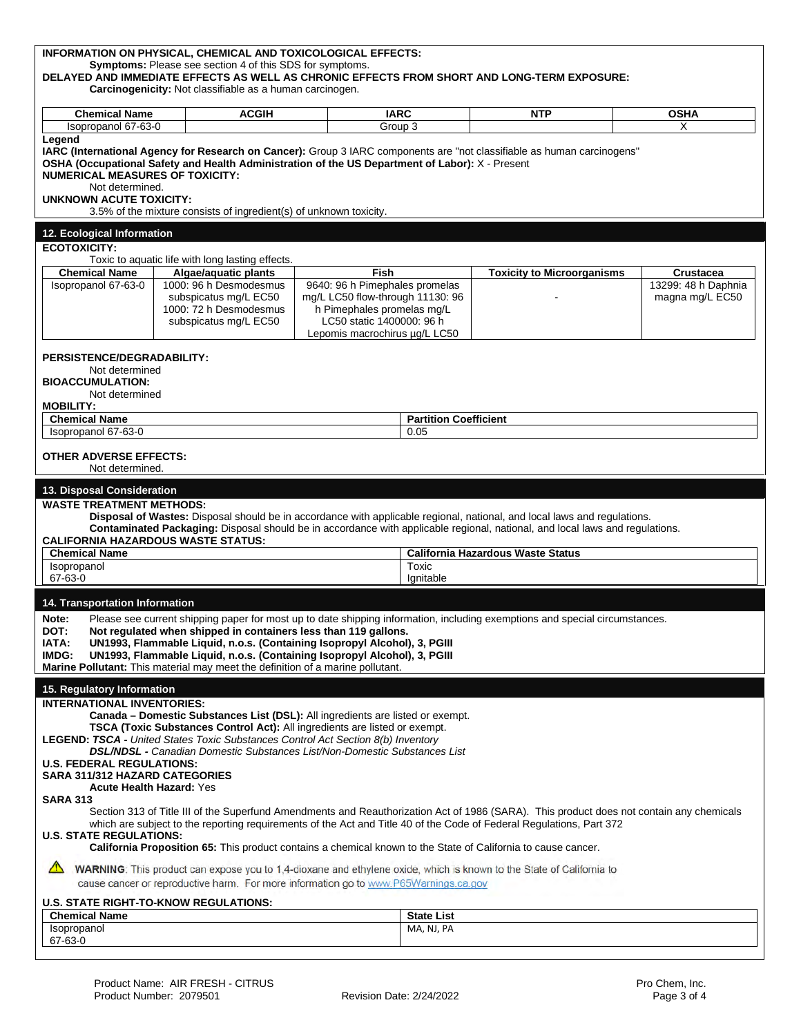| INFORMATION ON PHYSICAL, CHEMICAL AND TOXICOLOGICAL EFFECTS:<br><b>Symptoms:</b> Please see section 4 of this SDS for symptoms.<br>DELAYED AND IMMEDIATE EFFECTS AS WELL AS CHRONIC EFFECTS FROM SHORT AND LONG-TERM EXPOSURE:<br>Carcinogenicity: Not classifiable as a human carcinogen.                                                                                                                                                                                                                                                                                                                                                                                             |  |                                                                                                    |                                                                                                                                                                |                                 |                                   |                                        |  |
|----------------------------------------------------------------------------------------------------------------------------------------------------------------------------------------------------------------------------------------------------------------------------------------------------------------------------------------------------------------------------------------------------------------------------------------------------------------------------------------------------------------------------------------------------------------------------------------------------------------------------------------------------------------------------------------|--|----------------------------------------------------------------------------------------------------|----------------------------------------------------------------------------------------------------------------------------------------------------------------|---------------------------------|-----------------------------------|----------------------------------------|--|
| <b>Chemical Name</b>                                                                                                                                                                                                                                                                                                                                                                                                                                                                                                                                                                                                                                                                   |  | <b>ACGIH</b>                                                                                       | <b>IARC</b>                                                                                                                                                    |                                 | <b>NTP</b>                        | <b>OSHA</b>                            |  |
| Isopropanol 67-63-0                                                                                                                                                                                                                                                                                                                                                                                                                                                                                                                                                                                                                                                                    |  |                                                                                                    | Group 3                                                                                                                                                        |                                 |                                   | X                                      |  |
| Legend<br>IARC (International Agency for Research on Cancer): Group 3 IARC components are "not classifiable as human carcinogens"<br>OSHA (Occupational Safety and Health Administration of the US Department of Labor): X - Present<br><b>NUMERICAL MEASURES OF TOXICITY:</b><br>Not determined.<br>UNKNOWN ACUTE TOXICITY:<br>3.5% of the mixture consists of ingredient(s) of unknown toxicity.                                                                                                                                                                                                                                                                                     |  |                                                                                                    |                                                                                                                                                                |                                 |                                   |                                        |  |
| 12. Ecological Information                                                                                                                                                                                                                                                                                                                                                                                                                                                                                                                                                                                                                                                             |  |                                                                                                    |                                                                                                                                                                |                                 |                                   |                                        |  |
| <b>ECOTOXICITY:</b>                                                                                                                                                                                                                                                                                                                                                                                                                                                                                                                                                                                                                                                                    |  |                                                                                                    |                                                                                                                                                                |                                 |                                   |                                        |  |
|                                                                                                                                                                                                                                                                                                                                                                                                                                                                                                                                                                                                                                                                                        |  | Toxic to aquatic life with long lasting effects.                                                   |                                                                                                                                                                |                                 |                                   |                                        |  |
| <b>Chemical Name</b>                                                                                                                                                                                                                                                                                                                                                                                                                                                                                                                                                                                                                                                                   |  | Algae/aquatic plants                                                                               | Fish                                                                                                                                                           |                                 | <b>Toxicity to Microorganisms</b> | <b>Crustacea</b>                       |  |
| Isopropanol 67-63-0                                                                                                                                                                                                                                                                                                                                                                                                                                                                                                                                                                                                                                                                    |  | 1000: 96 h Desmodesmus<br>subspicatus mg/L EC50<br>1000: 72 h Desmodesmus<br>subspicatus mg/L EC50 | 9640: 96 h Pimephales promelas<br>mg/L LC50 flow-through 11130: 96<br>h Pimephales promelas mg/L<br>LC50 static 1400000: 96 h<br>Lepomis macrochirus µg/L LC50 |                                 |                                   | 13299: 48 h Daphnia<br>magna mg/L EC50 |  |
| PERSISTENCE/DEGRADABILITY:<br>Not determined<br><b>BIOACCUMULATION:</b><br>Not determined<br><b>MOBILITY:</b>                                                                                                                                                                                                                                                                                                                                                                                                                                                                                                                                                                          |  |                                                                                                    |                                                                                                                                                                |                                 |                                   |                                        |  |
| <b>Chemical Name</b>                                                                                                                                                                                                                                                                                                                                                                                                                                                                                                                                                                                                                                                                   |  |                                                                                                    |                                                                                                                                                                | <b>Partition Coefficient</b>    |                                   |                                        |  |
| Isopropanol 67-63-0                                                                                                                                                                                                                                                                                                                                                                                                                                                                                                                                                                                                                                                                    |  |                                                                                                    |                                                                                                                                                                | 0.05                            |                                   |                                        |  |
| <b>OTHER ADVERSE EFFECTS:</b><br>Not determined.                                                                                                                                                                                                                                                                                                                                                                                                                                                                                                                                                                                                                                       |  |                                                                                                    |                                                                                                                                                                |                                 |                                   |                                        |  |
| 13. Disposal Consideration                                                                                                                                                                                                                                                                                                                                                                                                                                                                                                                                                                                                                                                             |  |                                                                                                    |                                                                                                                                                                |                                 |                                   |                                        |  |
| <b>WASTE TREATMENT METHODS:</b><br>Disposal of Wastes: Disposal should be in accordance with applicable regional, national, and local laws and regulations.<br>Contaminated Packaging: Disposal should be in accordance with applicable regional, national, and local laws and regulations.<br><b>CALIFORNIA HAZARDOUS WASTE STATUS:</b><br><b>Chemical Name</b><br><b>California Hazardous Waste Status</b><br>Toxic<br>Isopropanol<br>67-63-0<br>Ignitable                                                                                                                                                                                                                           |  |                                                                                                    |                                                                                                                                                                |                                 |                                   |                                        |  |
|                                                                                                                                                                                                                                                                                                                                                                                                                                                                                                                                                                                                                                                                                        |  |                                                                                                    |                                                                                                                                                                |                                 |                                   |                                        |  |
| 14. Transportation Information<br>Please see current shipping paper for most up to date shipping information, including exemptions and special circumstances.<br>Note:<br>DOT:<br>Not regulated when shipped in containers less than 119 gallons.<br>IATA:<br>UN1993, Flammable Liquid, n.o.s. (Containing Isopropyl Alcohol), 3, PGIII<br>UN1993, Flammable Liquid, n.o.s. (Containing Isopropyl Alcohol), 3, PGIII<br>IMDG:<br>Marine Pollutant: This material may meet the definition of a marine pollutant.                                                                                                                                                                        |  |                                                                                                    |                                                                                                                                                                |                                 |                                   |                                        |  |
| 15. Regulatory Information<br><b>INTERNATIONAL INVENTORIES:</b><br>Canada – Domestic Substances List (DSL): All ingredients are listed or exempt.<br><b>TSCA (Toxic Substances Control Act):</b> All ingredients are listed or exempt.<br>LEGEND: TSCA - United States Toxic Substances Control Act Section 8(b) Inventory<br><b>DSL/NDSL - Canadian Domestic Substances List/Non-Domestic Substances List</b><br><b>U.S. FEDERAL REGULATIONS:</b><br><b>SARA 311/312 HAZARD CATEGORIES</b><br>Acute Health Hazard: Yes<br><b>SARA 313</b><br>Section 313 of Title III of the Superfund Amendments and Reauthorization Act of 1986 (SARA). This product does not contain any chemicals |  |                                                                                                    |                                                                                                                                                                |                                 |                                   |                                        |  |
| which are subject to the reporting requirements of the Act and Title 40 of the Code of Federal Regulations, Part 372<br><b>U.S. STATE REGULATIONS:</b><br>California Proposition 65: This product contains a chemical known to the State of California to cause cancer.                                                                                                                                                                                                                                                                                                                                                                                                                |  |                                                                                                    |                                                                                                                                                                |                                 |                                   |                                        |  |
| WARNING: This product can expose you to 1,4-dioxane and ethylene oxide, which is known to the State of California to<br>cause cancer or reproductive harm. For more information go to www.P65Warnings.ca.gov                                                                                                                                                                                                                                                                                                                                                                                                                                                                           |  |                                                                                                    |                                                                                                                                                                |                                 |                                   |                                        |  |
| <b>U.S. STATE RIGHT-TO-KNOW REGULATIONS:</b>                                                                                                                                                                                                                                                                                                                                                                                                                                                                                                                                                                                                                                           |  |                                                                                                    |                                                                                                                                                                |                                 |                                   |                                        |  |
| <b>Chemical Name</b><br>Isopropanol<br>67-63-0                                                                                                                                                                                                                                                                                                                                                                                                                                                                                                                                                                                                                                         |  |                                                                                                    |                                                                                                                                                                | <b>State List</b><br>MA, NJ, PA |                                   |                                        |  |